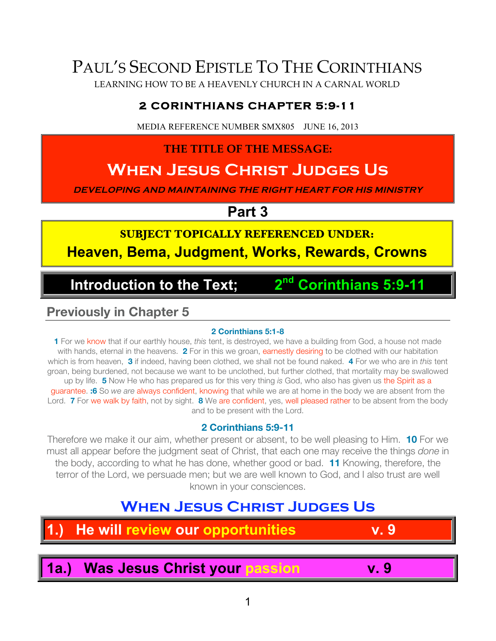# PAUL'S SECOND EPISTLE TO THE CORINTHIANS

LEARNING HOW TO BE A HEAVENLY CHURCH IN A CARNAL WORLD

## **2 CORINTHIANS CHAPTER 5:9-11**

MEDIA REFERENCE NUMBER SMX805 JUNE 16, 2013

## **THE TITLE OF THE MESSAGE:**

# **When Jesus Christ Judges Us**

**DEVELOPING AND MAINTAINING THE RIGHT HEART FOR HIS MINISTRY**

**Part 3**

# **SUBJECT TOPICALLY REFERENCED UNDER:**

**Heaven, Bema, Judgment, Works, Rewards, Crowns**

## **Introduction to the Text; 2nd Corinthians 5:9-11**

## **Previously in Chapter 5**

#### **2 Corinthians 5:1-8**

**1** For we know that if our earthly house, *this* tent, is destroyed, we have a building from God, a house not made with hands, eternal in the heavens. **2** For in this we groan, earnestly desiring to be clothed with our habitation which is from heaven, **3** if indeed, having been clothed, we shall not be found naked. **4** For we who are in *this* tent groan, being burdened, not because we want to be unclothed, but further clothed, that mortality may be swallowed up by life. **5** Now He who has prepared us for this very thing *is* God, who also has given us the Spirit as a guarantee. **:6** So *we are* always confident, knowing that while we are at home in the body we are absent from the Lord. **7** For we walk by faith, not by sight. **8** We are confident, yes, well pleased rather to be absent from the body and to be present with the Lord.

### **2 Corinthians 5:9-11**

Therefore we make it our aim, whether present or absent, to be well pleasing to Him. **10** For we must all appear before the judgment seat of Christ, that each one may receive the things *done* in the body, according to what he has done, whether good or bad. **11** Knowing, therefore, the terror of the Lord, we persuade men; but we are well known to God, and I also trust are well known in your consciences.

## **WHEN JESUS CHRIST JUDGES US**

# **1.) He will review our opportunities v. 9**

**1a.) Was Jesus Christ your passion v. 9**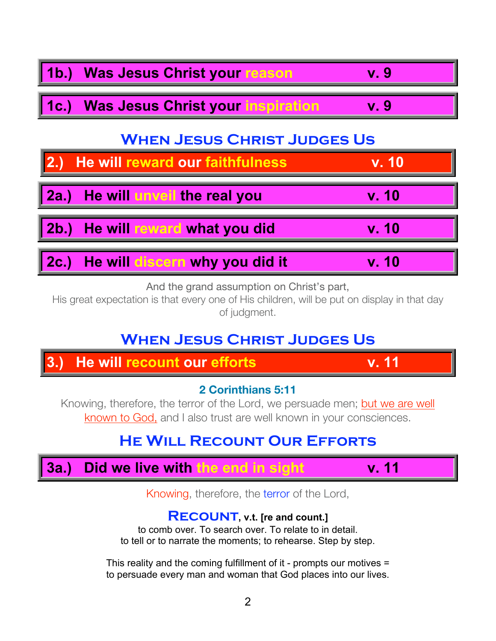

And the grand assumption on Christ's part,

His great expectation is that every one of His children, will be put on display in that day of judgment.

## **WHEN JESUS CHRIST JUDGES US**

## **2 Corinthians 5:11**

Knowing, therefore, the terror of the Lord, we persuade men; but we are well known to God, and I also trust are well known in your consciences.

## **He Will Recount Our Efforts**



Knowing, therefore, the terror of the Lord,

## **Recount, v.t. [re and count.]**

to comb over. To search over. To relate to in detail. to tell or to narrate the moments; to rehearse. Step by step.

This reality and the coming fulfillment of it - prompts our motives = to persuade every man and woman that God places into our lives.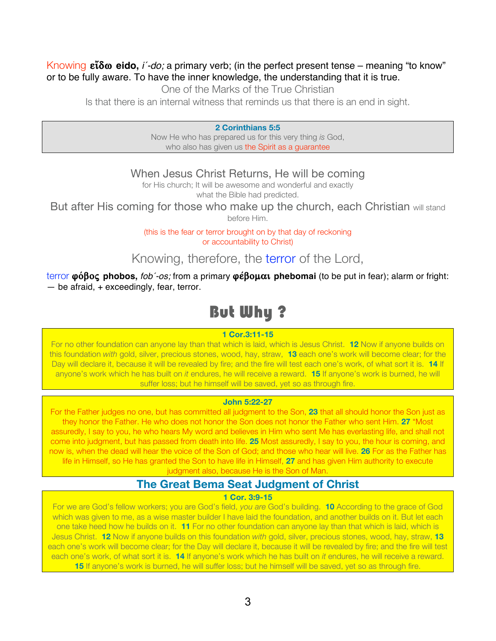#### Knowing  $\epsilon \tilde{i} \delta \omega$  **eido,** *i'-do;* a primary verb; (in the perfect present tense – meaning "to know" or to be fully aware. To have the inner knowledge, the understanding that it is true.

One of the Marks of the True Christian

Is that there is an internal witness that reminds us that there is an end in sight.

**2 Corinthians 5:5**

Now He who has prepared us for this very thing *is* God, who also has given us the Spirit as a guarantee

When Jesus Christ Returns, He will be coming

for His church; It will be awesome and wonderful and exactly what the Bible had predicted.

But after His coming for those who make up the church, each Christian will stand before Him.

> (this is the fear or terror brought on by that day of reckoning or accountability to Christ)

Knowing, therefore, the terror of the Lord,

terror φόβος phobos, *fob'-os;* from a primary φέβομαι phebomai (to be put in fear); alarm or fright:  $-$  be afraid,  $+$  exceedingly, fear, terror.

## But Why ?

#### **1 Cor.3:11-15**

For no other foundation can anyone lay than that which is laid, which is Jesus Christ. **12** Now if anyone builds on this foundation *with* gold, silver, precious stones, wood, hay, straw, **13** each one's work will become clear; for the Day will declare it, because it will be revealed by fire; and the fire will test each one's work, of what sort it is. **14** If anyone's work which he has built on *it* endures, he will receive a reward. **15** If anyone's work is burned, he will suffer loss; but he himself will be saved, yet so as through fire.

#### **John 5:22-27**

For the Father judges no one, but has committed all judgment to the Son, **23** that all should honor the Son just as they honor the Father. He who does not honor the Son does not honor the Father who sent Him. **27** "Most assuredly, I say to you, he who hears My word and believes in Him who sent Me has everlasting life, and shall not come into judgment, but has passed from death into life. **25** Most assuredly, I say to you, the hour is coming, and now is, when the dead will hear the voice of the Son of God; and those who hear will live. **26** For as the Father has life in Himself, so He has granted the Son to have life in Himself, **27** and has given Him authority to execute

judgment also, because He is the Son of Man.

## **The Great Bema Seat Judgment of Christ**

#### **1 Cor. 3:9-15**

For we are God's fellow workers; you are God's field, *you are* God's building. **10** According to the grace of God which was given to me, as a wise master builder I have laid the foundation, and another builds on it. But let each one take heed how he builds on it. **11** For no other foundation can anyone lay than that which is laid, which is Jesus Christ. **12** Now if anyone builds on this foundation *with* gold, silver, precious stones, wood, hay, straw, **13** each one's work will become clear; for the Day will declare it, because it will be revealed by fire; and the fire will test each one's work, of what sort it is. **14** If anyone's work which he has built on *it* endures, he will receive a reward. **15** If anyone's work is burned, he will suffer loss; but he himself will be saved, yet so as through fire.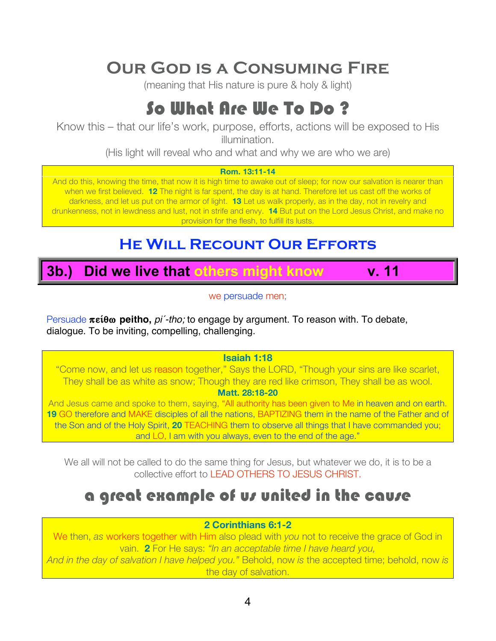# **Our God is a Consuming Fire**

(meaning that His nature is pure & holy & light)

# So What Are We To Do ?

Know this – that our life's work, purpose, efforts, actions will be exposed to His illumination.

(His light will reveal who and what and why we are who we are)

#### **Rom. 13:11-14**

And do this, knowing the time, that now it is high time to awake out of sleep; for now our salvation is nearer than when we first believed. **12** The night is far spent, the day is at hand. Therefore let us cast off the works of darkness, and let us put on the armor of light. **13** Let us walk properly, as in the day, not in revelry and drunkenness, not in lewdness and lust, not in strife and envy. **14** But put on the Lord Jesus Christ, and make no provision for the flesh, to fulfill its lusts.

## **He Will Recount Our Efforts**

# **3b.) Did we live that others might know v. 11**

we persuade men;

Persuade πείθω peitho, *pi<sup>'</sup>-tho;* to engage by argument. To reason with. To debate, dialogue. To be inviting, compelling, challenging.

#### **Isaiah 1:18**

"Come now, and let us reason together," Says the LORD, "Though your sins are like scarlet, They shall be as white as snow; Though they are red like crimson, They shall be as wool. **Matt. 28:18-20**

And Jesus came and spoke to them, saying, "All authority has been given to Me in heaven and on earth. 19 GO therefore and MAKE disciples of all the nations, BAPTIZING them in the name of the Father and of the Son and of the Holy Spirit, **20** TEACHING them to observe all things that I have commanded you; and LO, I am with you always, even to the end of the age."

We all will not be called to do the same thing for Jesus, but whatever we do, it is to be a collective effort to LEAD OTHERS TO JESUS CHRIST.

# a great example of us united in the cause

#### **2 Corinthians 6:1-2**

We then, *as* workers together with Him also plead with *you* not to receive the grace of God in vain. **2** For He says: *"In an acceptable time I have heard you,*

*And in the day of salvation I have helped you."* Behold, now *is* the accepted time; behold, now *is* the day of salvation.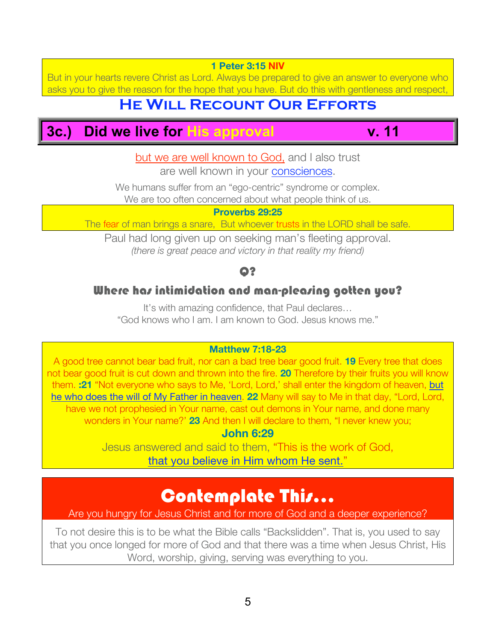*(there is great peace and victory in that reality my friend)*

#### Q?

## Where has intimidation and man-pleasing gotten you?

It's with amazing confidence, that Paul declares… "God knows who I am. I am known to God. Jesus knows me."

#### **Matthew 7:18-23**

A good tree cannot bear bad fruit, nor can a bad tree bear good fruit. **19** Every tree that does not bear good fruit is cut down and thrown into the fire. **20** Therefore by their fruits you will know them. **:21** "Not everyone who says to Me, 'Lord, Lord,' shall enter the kingdom of heaven, but he who does the will of My Father in heaven. **22** Many will say to Me in that day, "Lord, Lord, have we not prophesied in Your name, cast out demons in Your name, and done many wonders in Your name?' **23** And then I will declare to them, "I never knew you;

### **John 6:29**

Jesus answered and said to them, "This is the work of God, that you believe in Him whom He sent.'

## Contemplate This...

### Are you hungry for Jesus Christ and for more of God and a deeper experience?

To not desire this is to be what the Bible calls "Backslidden". That is, you used to say that you once longed for more of God and that there was a time when Jesus Christ, His Word, worship, giving, serving was everything to you.

**1 Peter 3:15 NIV**

But in your hearts revere Christ as Lord. Always be prepared to give an answer to everyone who asks you to give the reason for the hope that you have. But do this with gentleness and respect,

## **He Will Recount Our Efforts**

but we are well known to God, and I also trust are well known in your consciences. We humans suffer from an "ego-centric" syndrome or complex. We are too often concerned about what people think of us. **Proverbs 29:25** The fear of man brings a snare, But whoever trusts in the LORD shall be safe. Paul had long given up on seeking man's fleeting approval.

## **3c.) Did we live for His approval v. 11**